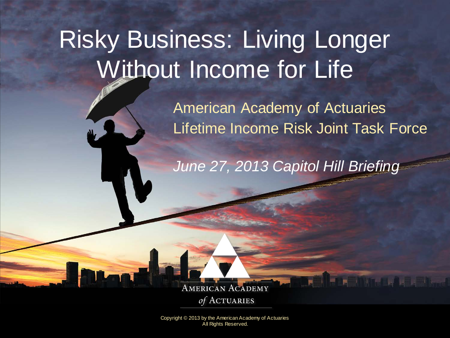# Risky Business: Living Longer Without Income for Life

American Academy of Actuaries Lifetime Income Risk Joint Task Force

**The College of the College** 

*June 27, 2013 Capitol Hill Briefing*

**AMERICAN ACADEMY** of ACTUARIES

Copyright © 2013 by the American Academy of Actuaries **All Rights Reserved.**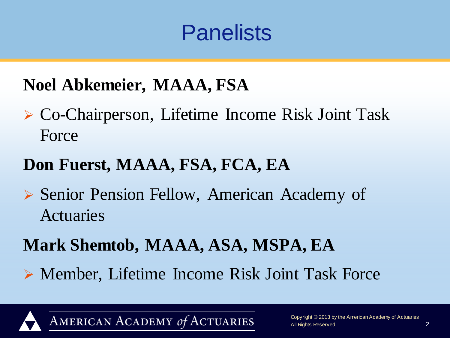### **Panelists**

### **Noel Abkemeier, MAAA, FSA**

 Co-Chairperson, Lifetime Income Risk Joint Task Force

### **Don Fuerst, MAAA, FSA, FCA, EA**

 Senior Pension Fellow, American Academy of Actuaries

### **Mark Shemtob, MAAA, ASA, MSPA, EA**

Member, Lifetime Income Risk Joint Task Force

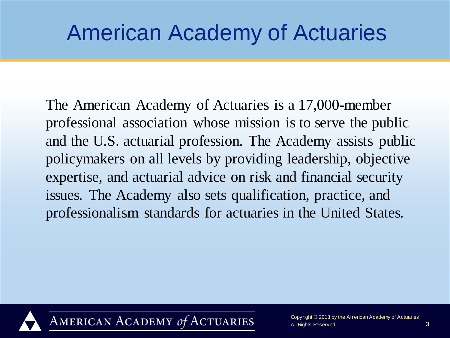### American Academy of Actuaries

The American Academy of Actuaries is a 17,000-member professional association whose mission is to serve the public and the U.S. actuarial profession. The Academy assists public policymakers on all levels by providing leadership, objective expertise, and actuarial advice on risk and financial security issues. The Academy also sets qualification, practice, and professionalism standards for actuaries in the United States.

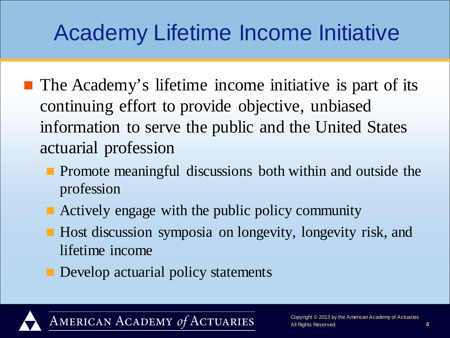## Academy Lifetime Income Initiative

- **The Academy's lifetime income initiative is part of its** continuing effort to provide objective, unbiased information to serve the public and the United States actuarial profession
	- **Promote meaningful discussions both within and outside the** profession
	- Actively engage with the public policy community
	- Host discussion symposia on longevity, longevity risk, and lifetime income
	- **Develop actuarial policy statements**

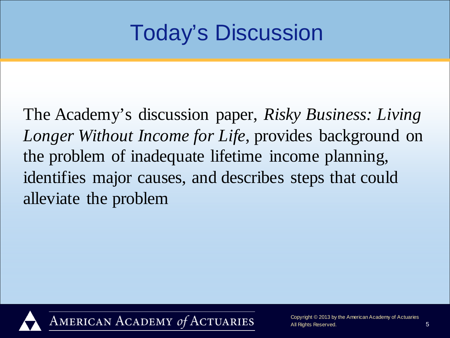### Today's Discussion

The Academy's discussion paper, *Risky Business: Living Longer Without Income for Life*, provides background on the problem of inadequate lifetime income planning, identifies major causes, and describes steps that could alleviate the problem

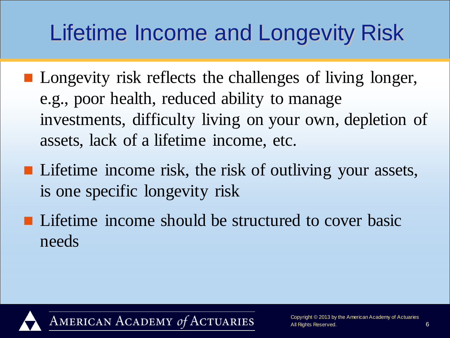## Lifetime Income and Longevity Risk

- **Longevity risk reflects the challenges of living longer,** e.g., poor health, reduced ability to manage investments, difficulty living on your own, depletion of assets, lack of a lifetime income, etc.
- **Lifetime income risk, the risk of outliving your assets,** is one specific longevity risk
- **Lifetime income should be structured to cover basic** needs

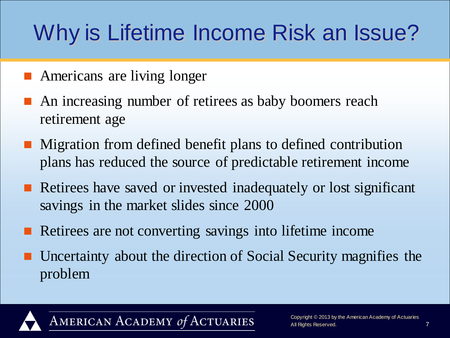# Why is Lifetime Income Risk an Issue?

- **Americans are living longer**
- An increasing number of retirees as baby boomers reach retirement age
- **Migration from defined benefit plans to defined contribution** plans has reduced the source of predictable retirement income
- Retirees have saved or invested inadequately or lost significant savings in the market slides since 2000
- Retirees are not converting savings into lifetime income
- Uncertainty about the direction of Social Security magnifies the problem

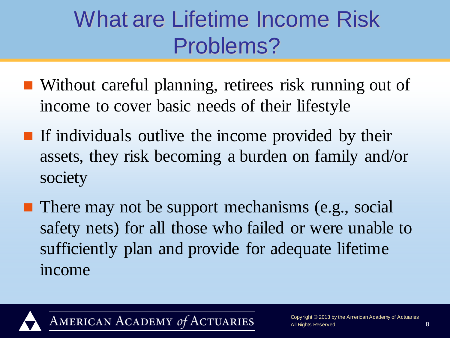### What are Lifetime Income Risk Problems?

- Without careful planning, retirees risk running out of income to cover basic needs of their lifestyle
- **If individuals outlive the income provided by their** assets, they risk becoming a burden on family and/or society
- **There may not be support mechanisms (e.g., social** safety nets) for all those who failed or were unable to sufficiently plan and provide for adequate lifetime income

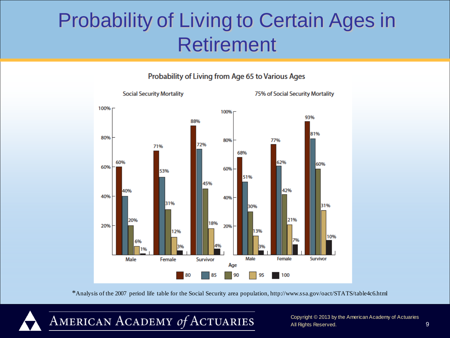### Probability of Living to Certain Ages in Retirement





\*Analysis of the 2007 period life table for the Social Security area population, http://www.ssa.gov/oact/STATS/table4c6.html



Copyright © 2013 by the American Academy of Actuaries All Rights Reserved. 9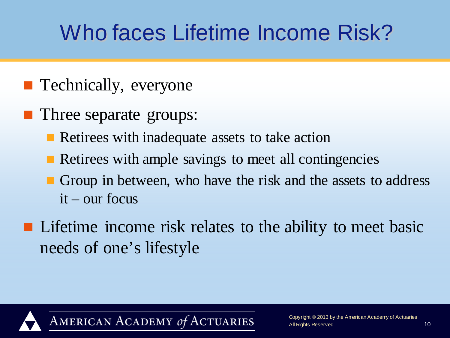## Who faces Lifetime Income Risk?

- **Technically, everyone**
- **Three separate groups:** 
	- **Retirees with inadequate assets to take action**
	- Retirees with ample savings to meet all contingencies
	- Group in between, who have the risk and the assets to address it – our focus
- **Lifetime income risk relates to the ability to meet basic** needs of one's lifestyle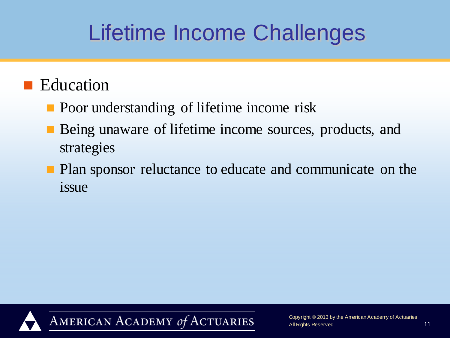### Lifetime Income Challenges

#### ■ Education

- **Poor understanding of lifetime income risk**
- Being unaware of lifetime income sources, products, and strategies
- **Plan sponsor reluctance to educate and communicate on the** issue

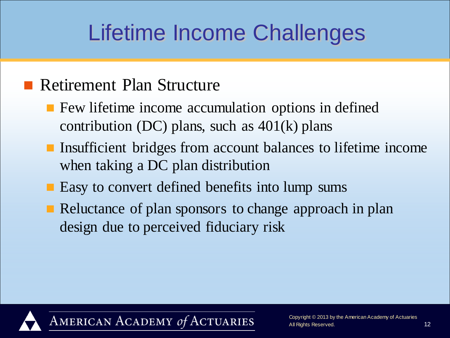### Lifetime Income Challenges

#### **Retirement Plan Structure**

- **F** Few lifetime income accumulation options in defined contribution (DC) plans, such as  $401(k)$  plans
- **Insufficient bridges from account balances to lifetime income** when taking a DC plan distribution
- **E** Easy to convert defined benefits into lump sums
- Reluctance of plan sponsors to change approach in plan design due to perceived fiduciary risk

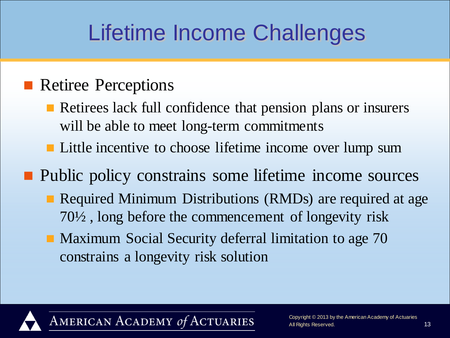### Lifetime Income Challenges

#### **Retiree Perceptions**

- Retirees lack full confidence that pension plans or insurers will be able to meet long-term commitments
- **Little incentive to choose lifetime income over lump sum**

**Public policy constrains some lifetime income sources** 

- **Required Minimum Distributions (RMDs) are required at age** 70½ , long before the commencement of longevity risk
- **Maximum Social Security deferral limitation to age 70** constrains a longevity risk solution

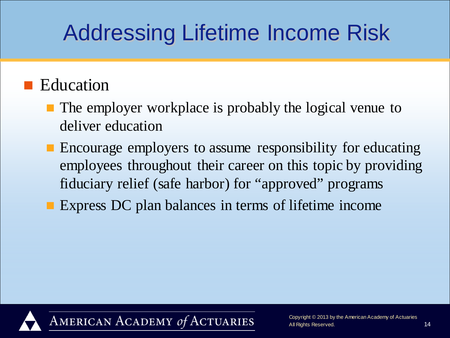#### ■ Education

- The employer workplace is probably the logical venue to deliver education
- **Encourage employers to assume responsibility for educating** employees throughout their career on this topic by providing fiduciary relief (safe harbor) for "approved" programs
- **Express DC plan balances in terms of lifetime income**

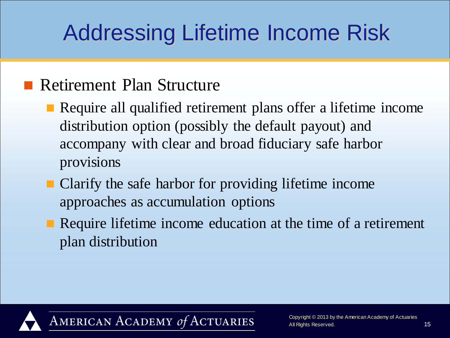#### **Retirement Plan Structure**

- **Require all qualified retirement plans offer a lifetime income** distribution option (possibly the default payout) and accompany with clear and broad fiduciary safe harbor provisions
- Clarify the safe harbor for providing lifetime income approaches as accumulation options
- Require lifetime income education at the time of a retirement plan distribution

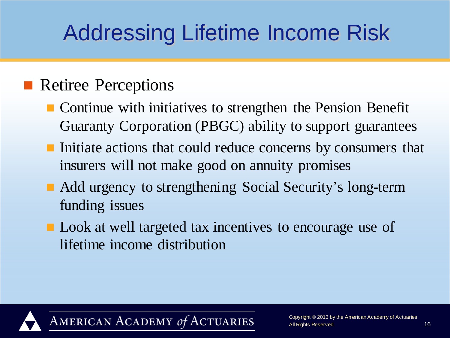#### **Retiree Perceptions**

- **Continue with initiatives to strengthen the Pension Benefit** Guaranty Corporation (PBGC) ability to support guarantees
- Initiate actions that could reduce concerns by consumers that insurers will not make good on annuity promises
- Add urgency to strengthening Social Security's long-term funding issues
- **Look** at well targeted tax incentives to encourage use of lifetime income distribution

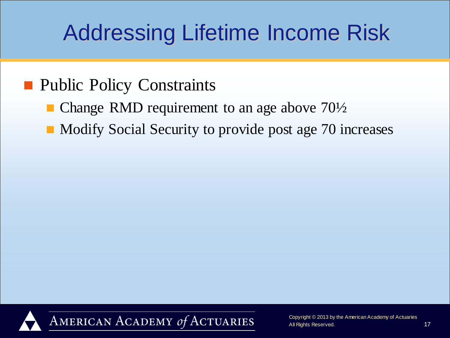#### **Public Policy Constraints**

- Change RMD requirement to an age above 70½
- Modify Social Security to provide post age 70 increases

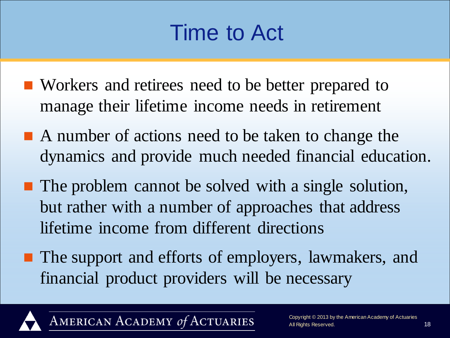### Time to Act

- Workers and retirees need to be better prepared to manage their lifetime income needs in retirement
- A number of actions need to be taken to change the dynamics and provide much needed financial education.
- **The problem cannot be solved with a single solution,** but rather with a number of approaches that address lifetime income from different directions
- **The support and efforts of employers, lawmakers, and** financial product providers will be necessary

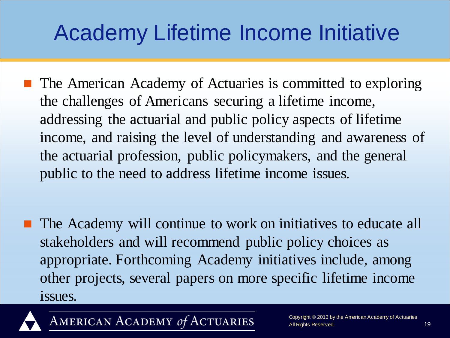## Academy Lifetime Income Initiative

- **The American Academy of Actuaries is committed to exploring** the challenges of Americans securing a lifetime income, addressing the actuarial and public policy aspects of lifetime income, and raising the level of understanding and awareness of the actuarial profession, public policymakers, and the general public to the need to address lifetime income issues.
- The Academy will continue to work on initiatives to educate all stakeholders and will recommend public policy choices as appropriate. Forthcoming Academy initiatives include, among other projects, several papers on more specific lifetime income issues.

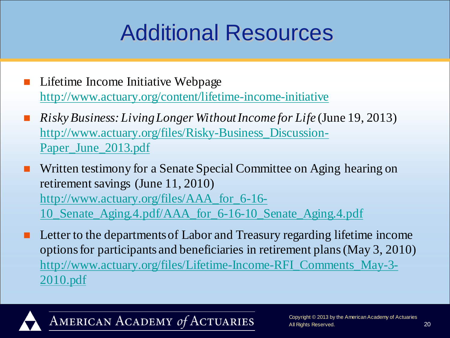### Additional Resources

- Lifetime Income Initiative Webpage <http://www.actuary.org/content/lifetime-income-initiative>
- *Risky Business: Living Longer Without Income for Life* (June 19, 2013) [http://www.actuary.org/files/Risky-Business\\_Discussion-](http://www.actuary.org/files/Risky-Business_Discussion-Paper_June_2013.pdf)[Paper\\_June\\_2013.pdf](http://www.actuary.org/files/Risky-Business_Discussion-Paper_June_2013.pdf)
- Written testimony for a Senate Special Committee on Aging hearing on retirement savings (June 11, 2010) [http://www.actuary.org/files/AAA\\_for\\_6-16-](http://www.actuary.org/files/AAA_for_6-16-10_Senate_Aging.4.pdf/AAA_for_6-16-10_Senate_Aging.4.pdf) [10\\_Senate\\_Aging.4.pdf/AAA\\_for\\_6-16-10\\_Senate\\_Aging.4.pdf](http://www.actuary.org/files/AAA_for_6-16-10_Senate_Aging.4.pdf/AAA_for_6-16-10_Senate_Aging.4.pdf)
- Letter to the departments of Labor and Treasury regarding lifetime income options for participants and beneficiaries in retirement plans (May 3, 2010) [http://www.actuary.org/files/Lifetime-Income-RFI\\_Comments\\_May-3-](http://www.actuary.org/files/Lifetime-Income-RFI_Comments_May-3-2010.pdf) [2010.pdf](http://www.actuary.org/files/Lifetime-Income-RFI_Comments_May-3-2010.pdf)